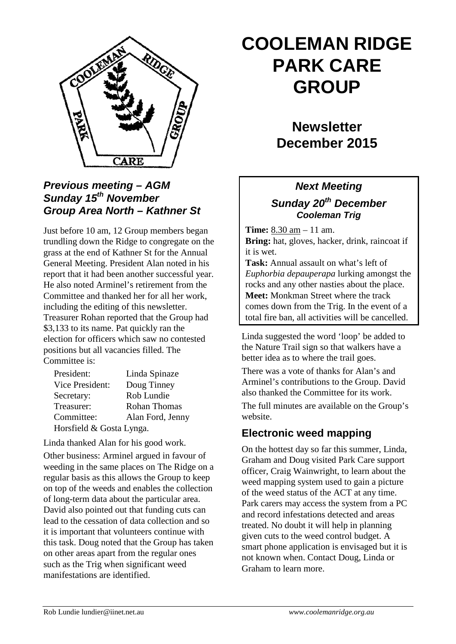

#### *Previous meeting – AGM Sunday 15th November Group Area North – Kathner St*

Just before 10 am, 12 Group members began trundling down the Ridge to congregate on the grass at the end of Kathner St for the Annual General Meeting. President Alan noted in his report that it had been another successful year. He also noted Arminel's retirement from the Committee and thanked her for all her work, including the editing of this newsletter. Treasurer Rohan reported that the Group had \$3,133 to its name. Pat quickly ran the election for officers which saw no contested positions but all vacancies filled. The Committee is:

| President:               | Linda Spinaze       |
|--------------------------|---------------------|
| Vice President:          | Doug Tinney         |
| Secretary:               | Rob Lundie          |
| Treasurer:               | <b>Rohan Thomas</b> |
| Committee:               | Alan Ford, Jenny    |
| Horsfield & Gosta Lynga. |                     |

Linda thanked Alan for his good work.

Other business: Arminel argued in favour of weeding in the same places on The Ridge on a regular basis as this allows the Group to keep on top of the weeds and enables the collection of long-term data about the particular area. David also pointed out that funding cuts can lead to the cessation of data collection and so it is important that volunteers continue with this task. Doug noted that the Group has taken on other areas apart from the regular ones such as the Trig when significant weed manifestations are identified.

# **COOLEMAN RIDGE PARK CARE GROUP**

## **Newsletter December 2015**

#### *Next Meeting*

#### *Sunday 20th December Cooleman Trig*

**Time:** 8.30 am – 11 am. **Bring:** hat, gloves, hacker, drink, raincoat if it is wet.

**Task:** Annual assault on what's left of *Euphorbia depauperapa* lurking amongst the rocks and any other nasties about the place. **Meet:** Monkman Street where the track comes down from the Trig. In the event of a total fire ban, all activities will be cancelled.

Linda suggested the word 'loop' be added to the Nature Trail sign so that walkers have a better idea as to where the trail goes.

There was a vote of thanks for Alan's and Arminel's contributions to the Group. David also thanked the Committee for its work.

The full minutes are available on the Group's website.

### **Electronic weed mapping**

On the hottest day so far this summer, Linda, Graham and Doug visited Park Care support officer, Craig Wainwright, to learn about the weed mapping system used to gain a picture of the weed status of the ACT at any time. Park carers may access the system from a PC and record infestations detected and areas treated. No doubt it will help in planning given cuts to the weed control budget. A smart phone application is envisaged but it is not known when. Contact Doug, Linda or Graham to learn more.